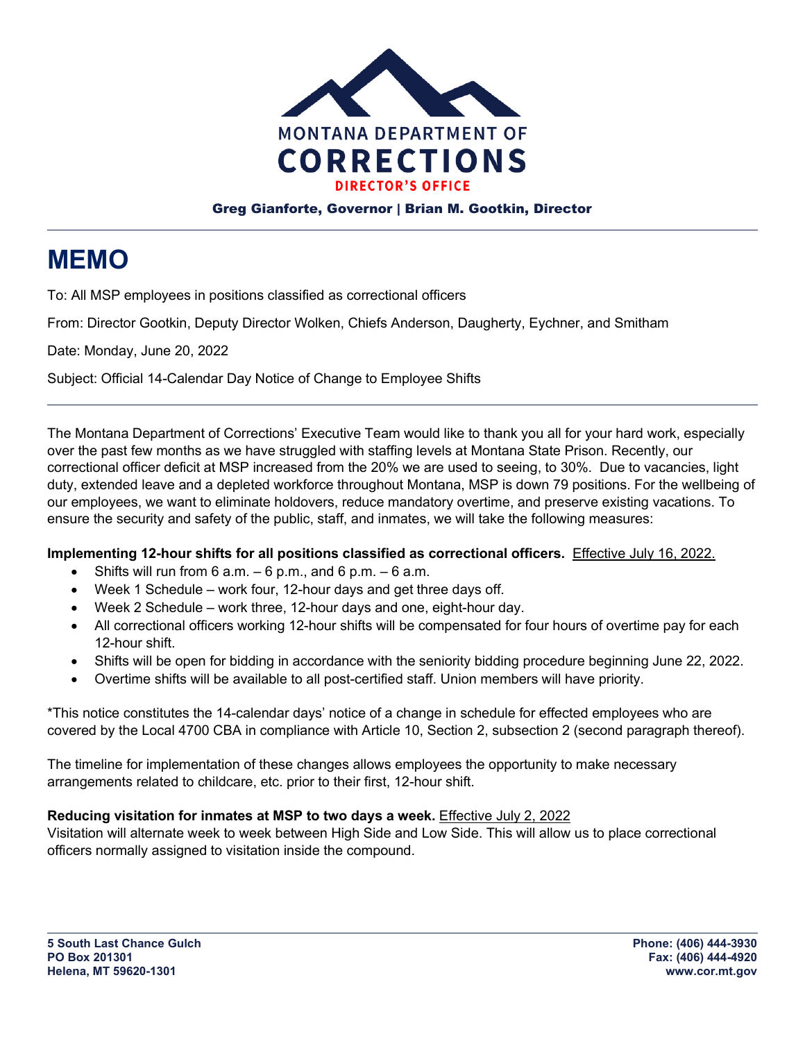

## Greg Gianforte, Governor | Brian M. Gootkin, Director

## **MEMO**

To: All MSP employees in positions classified as correctional officers

From: Director Gootkin, Deputy Director Wolken, Chiefs Anderson, Daugherty, Eychner, and Smitham

Date: Monday, June 20, 2022

Subject: Official 14-Calendar Day Notice of Change to Employee Shifts

The Montana Department of Corrections' Executive Team would like to thank you all for your hard work, especially over the past few months as we have struggled with staffing levels at Montana State Prison. Recently, our correctional officer deficit at MSP increased from the 20% we are used to seeing, to 30%. Due to vacancies, light duty, extended leave and a depleted workforce throughout Montana, MSP is down 79 positions. For the wellbeing of our employees, we want to eliminate holdovers, reduce mandatory overtime, and preserve existing vacations. To ensure the security and safety of the public, staff, and inmates, we will take the following measures:

## **Implementing 12-hour shifts for all positions classified as correctional officers.** Effective July 16, 2022.

- Shifts will run from  $6$  a.m.  $-6$  p.m., and  $6$  p.m.  $-6$  a.m.
- Week 1 Schedule work four, 12-hour days and get three days off.
- Week 2 Schedule work three, 12-hour days and one, eight-hour day.
- All correctional officers working 12-hour shifts will be compensated for four hours of overtime pay for each 12-hour shift.
- Shifts will be open for bidding in accordance with the seniority bidding procedure beginning June 22, 2022.
- Overtime shifts will be available to all post-certified staff. Union members will have priority.

\*This notice constitutes the 14-calendar days' notice of a change in schedule for effected employees who are covered by the Local 4700 CBA in compliance with Article 10, Section 2, subsection 2 (second paragraph thereof).

The timeline for implementation of these changes allows employees the opportunity to make necessary arrangements related to childcare, etc. prior to their first, 12-hour shift.

## **Reducing visitation for inmates at MSP to two days a week.** Effective July 2, 2022

Visitation will alternate week to week between High Side and Low Side. This will allow us to place correctional officers normally assigned to visitation inside the compound.